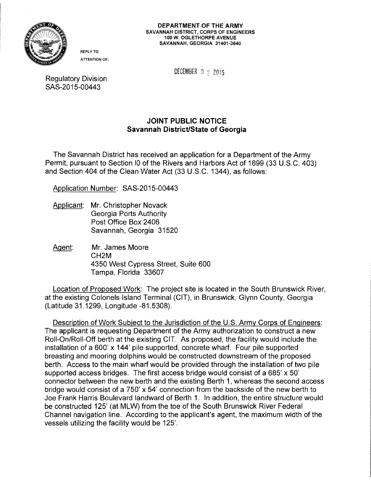

REPLY TO ATTENTION OF:

DECEMBER  $9 \div 2015$ 

Regulatory Division SAS-2015-00443

## JOINT PUBLIC NOTICE Savannah District/State of Georgia

The Savannah District has received an application for a Department of the Army Permit, pursuant to Section 10 of the Rivers and Harbors Act of 1899 (33 U.S.C. 403) and Section 404 of the Clean Water Act (33 U.S.C. 1344), as follows:

Application Number: SAS-2015-00443

- Applicant: Mr. Christopher Novack Georgia Ports Authority Post Office Box 2406 Savannah, Georgia 31520
- Agent: Mr. James Moore CH2M 4350 West Cypress Street, Suite 600 Tampa, Florida 33607

Location of Proposed Work: The project site is located in the South Brunswick River, at the existing Colonels Island Terminal (CIT), in Brunswick, Glynn County, Georgia (Latitude 31.1299, Longitude -81.5308).

Description of Work Subject to the Jurisdiction of the U.S. Army Corps of Engineers: The applicant is requesting Department of the Army authorization to construct a new Roll-On/Roll-Off berth at the existing CIT. As proposed, the facility would include the installation of a 600' x 144' pile supported, concrete wharf. Four pile supported breasting and mooring dolphins would be constructed downstream of the proposed berth. Access to the main wharf would be provided through the installation of two pile supported access bridges. The first access bridge would consist of a 685'  $\times$  50' connector between the new berth and the existing Berth 1, whereas the second access bridge would consist of a 750' x 54' connection from the backside of the new berth to Joe Frank Harris Boulevard landward of Berth 1. In addition, the entire structure would be constructed 125' (at MLW) from the toe of the South Brunswick River Federal Channel navigation line. According to the applicant's agent, the maximum width of the vessels utilizing the facility would be 125'.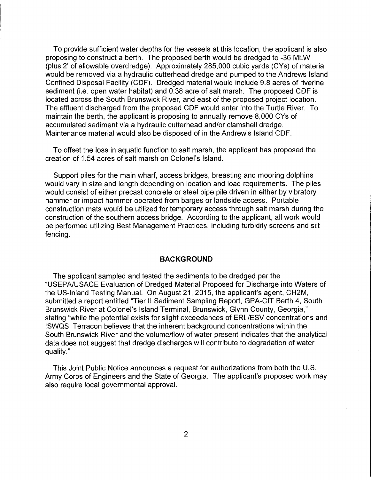To provide sufficient water depths for the vessels at this location, the applicant is also proposing to construct a berth. The proposed berth would be dredged to -36 MLW (plus 2' of allowable overdredge). Approximately 285,000 cubic yards (CYs) of material would be removed via a hydraulic cutterhead dredge and pumped to the Andrews Island Confined Disposal Facility (CDF). Dredged material would include 9.8 acres of riverine sediment (i.e. open water habitat) and 0.38 acre of salt marsh. The proposed CDF is located across the South Brunswick River, and east of the proposed project location. The effluent discharged from the proposed CDF would enter into the Turtle River. To maintain the berth, the applicant is proposing to annually remove 8,000 CYs of accumulated sediment via a hydraulic cutterhead and/or clamshell dredge. Maintenance material would also be disposed of in the Andrew's Island CDF.

To offset the loss in aquatic function to salt marsh, the applicant has proposed the creation of 1.54 acres of salt marsh on Colonel's Island.

Support piles for the main wharf, access bridges, breasting and mooring dolphins would vary in size and length depending on location and load requirements. The piles would consist of either precast concrete or steel pipe pile driven in either by vibratory hammer or impact hammer operated from barges or landside access. Portable construction mats would be utilized for temporary access through salt marsh during the construction of the southern access bridge. According to the applicant, all work would be performed utilizing Best Management Practices, including turbidity screens and silt fencing.

## **BACKGROUND**

The applicant sampled and tested the sediments to be dredged per the "USEPA/USACE Evaluation of Dredged Material Proposed for Discharge into Waters of the US-Inland Testing Manual. On August 21, 2015, the applicant's agent, CH2M, submitted a report entitled "Tier II Sediment Sampling Report, GPA-CIT Berth 4, South Brunswick River at Colonel's Island Terminal, Brunswick, Glynn County, Georgia," stating "while the potential exists for slight exceedances of ERL/ESV concentrations and ISWQS, Terracon believes that the inherent background concentrations within the South Brunswick River and the volume/flow of water present indicates that the analytical data does not suggest that dredge discharges will contribute to degradation of water quality."

This Joint Public Notice announces a request for authorizations from both the U.S. Army Corps of Engineers and the State of Georgia. The applicant's proposed work may also require local governmental approval.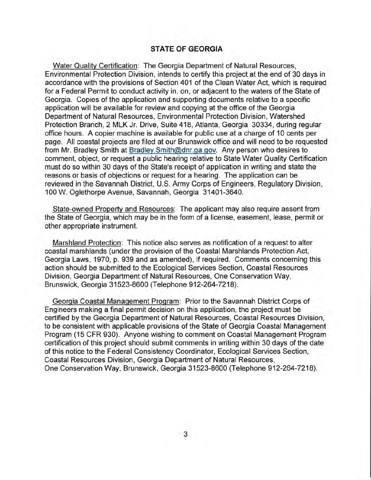## **STATE OF GEORGIA**

Water Quality Certification: The Georgia Department of Natural Resources, Environmental Protection Division, intends to certify this project at the end of 30 days in accordance with the provisions of Section 401 of the Clean Water Act, which is required for a Federal Permit to conduct activity in, on, or adjacent to the waters of the State of Georgia. Copies of the application and supporting documents relative to a specific application will be available for review and copying at the office of the Georgia Department of Natural Resources, Environmental Protection Division, Watershed Protection Branch, 2 MLK Jr. Drive, Suite 418, Atlanta, Georgia 30334, during regular office hours. A copier machine is available for public use at a charge of 10 cents per page. All coastal projects are filed at our Brunswick office and will need to be requested from Mr. Bradley Smith at Bradley.Smith@dnr.ga.gov. Any person who desires to comment, object, or request a public hearing relative to State Water Quality Certification must do so within 30 days of the State's receipt of application in writing and state the reasons or basis of objections or request for a hearing. The application can be reviewed in the Savannah District, U.S. Army Corps of Engineers, Regulatory Division, 100 W. Oglethorpe Avenue, Savannah, Georgia 31401-3640.

State-owned Property and Resources: The applicant may also require assent from the State of Georgia, which may be in the form of a license, easement, lease, permit or other appropriate instrument.

Marshland Protection: This notice also serves as notification of a request to alter coastal marshlands (under the provision of the Coastal Marshlands Protection Act, Georgia Laws, 1970, p. 939 and as amended), if required. Comments concerning this action should be submitted to the Ecological Services Section, Coastal Resources Division, Georgia Department of Natural Resources, One Conservation Way, Brunswick, Georgia 31523-8600 (Telephone 912-264-7218).

Georgia Coastal Management Program: Prior to the Savannah District Corps of Engineers making a final permit decision on this application, the project must be certified by the Georgia Department of Natural Resources, Coastal Resources Division, to be consistent with applicable provisions of the State of Georgia Coastal Management Program (15 CFR 930). Anyone wishing to comment on Coastal Management Program certification of this project should submit comments in writing within 30 days of the date of this notice to the Federal Consistency Coordinator, Ecological Services Section, Coastal Resources Division, Georgia Department of Natural Resources, One Conservation Way, Brunswick, Georgia 31523-8600 (Telephone 912-264-7218).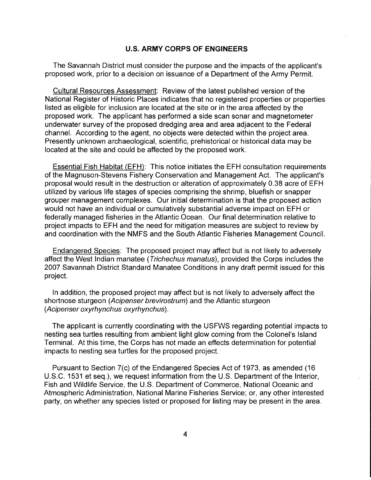## **U.S. ARMY CORPS OF ENGINEERS**

The Savannah District must consider the purpose and the impacts of the applicant's proposed work, prior to a decision on issuance of a Department of the Army Permit.

Cultural Resources Assessment: Review of the latest published version of the National Register of Historic Places indicates that no registered properties or properties listed as eligible for inclusion are located at the site or in the area affected by the proposed work. The applicant has performed a side scan sonar and magnetometer underwater survey of the proposed dredging area and area adjacent to the Federal channel. According to the agent, no objects were detected within the project area. Presently unknown archaeological, scientific, prehistorical or historical data may be located at the site and could be affected by the proposed work.

Essential Fish Habitat (EFH): This notice initiates the EFH consultation requirements of the Magnuson-Stevens Fishery Conservation and Management Act. The applicant's proposal would result in the destruction or alteration of approximately 0.38 acre of EFH utilized by various life stages of species comprising the shrimp, bluefish or snapper grouper management complexes. Our initial determination is that the proposed action would not have an individual or cumulatively substantial adverse impact on EFH or federally managed fisheries in the Atlantic Ocean. Our final determination relative to project impacts to EFH and the need for mitigation measures are subject to review by and coordination with the NMFS and the South Atlantic Fisheries Management Council.

Endangered Species: The proposed project may affect but is not likely to adversely affect the West Indian manatee (Trichechus manatus), provided the Corps includes the 2007 Savannah District Standard Manatee Conditions in any draft permit issued for this project.

In addition, the proposed project may affect but is not likely to adversely affect the shortnose sturgeon (Acipenser brevirostrum) and the Atlantic sturgeon (Acipenser oxyrhynchus oxyrhynchus).

The applicant is currently coordinating with the USFWS regarding potential impacts to nesting sea turtles resulting from ambient light glow coming from the Colonel's Island Terminal. At this time, the Corps has not made an effects determination for potential impacts to nesting sea turtles for the proposed project.

Pursuant to Section 7(c) of the Endangered Species Act of 1973, as amended (16 U.S.C. 1531 et seq.), we request information from the U.S. Department of the Interior, Fish and Wildlife Service, the U.S. Department of Commerce, National Oceanic and Atmospheric Administration, National Marine Fisheries Service; or, any other interested party, on whether any species listed or proposed for listing may be present in the area.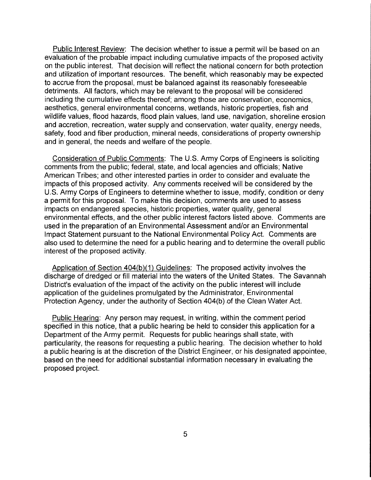Public Interest Review: The decision whether to issue a permit will be based on an evaluation of the probable impact including cumulative impacts of the proposed activity on the public interest. That decision will reflect the national concern for both protection and utilization of important resources. The benefit, which reasonably may be expected to accrue from the proposal, must be balanced against its reasonably foreseeable detriments. All factors, which may be relevant to the proposal will be considered including the cumulative effects thereof; among those are conservation, economics, aesthetics, general environmental concerns, wetlands, historic properties, fish and wildlife values, flood hazards, flood plain values, land use, navigation, shoreline erosion and accretion, recreation, water supply and conservation, water quality, energy needs, safety, food and fiber production, mineral needs, considerations of property ownership and in general, the needs and welfare of the people.

Consideration of Public Comments: The U.S. Army Corps of Engineers is soliciting comments from the public; federal, state, and local agencies and officials; Native American Tribes; and other interested parties in order to consider and evaluate the impacts of this proposed activity. Any comments received will be considered by the U.S. Army Corps of Engineers to determine whether to issue, modify, condition or deny a permit for this proposal. To make this decision, comments are used to assess impacts on endangered species, historic properties, water quality, general environmental effects, and the other public interest factors listed above. Comments are used in the preparation of an Environmental Assessment and/or an Environmental Impact Statement pursuant to the National Environmental Policy Act. Comments are also used to determine the need for a public hearing and to determine the overall public interest of the proposed activity.

Application of Section 404(b)(1) Guidelines: The proposed activity involves the discharge of dredged or fill material into the waters of the United States. The Savannah District's evaluation of the impact of the activity on the public interest will include application of the guidelines promulgated by the Administrator, Environmental Protection Agency, under the authority of Section 404(b) of the Clean Water Act.

Public Hearing: Any person may request, in writing, within the comment period specified in this notice, that a public hearing be held to consider this application for a Department of the Army permit. Requests for public hearings shall state, with particularity, the reasons for requesting a public hearing. The decision whether to hold a public hearing is at the discretion of the District Engineer, or his designated appointee, based on the need for additional substantial information necessary in evaluating the proposed project.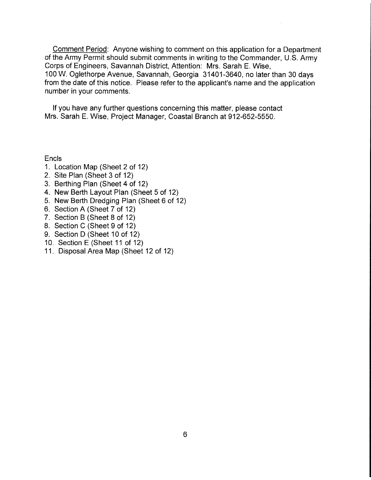Comment Period: Anyone wishing to comment on this application for a Department of the Army Permit should submit comments in writing to the Commander, U.S. Army Corps of Engineers, Savannah District, Attention: Mrs. Sarah E. Wise, 100 W. Oglethorpe Avenue, Savannah, Georgia 31401-3640, no later than 30 days from the date of this notice. Please refer to the applicant's name and the application number in your comments.

If you have any further questions concerning this matter, please contact Mrs. Sarah E. Wise, Project Manager, Coastal Branch at 912-652-5550.

**Encls** 

- 1. Location Map (Sheet 2 of 12)
- 2. Site Plan (Sheet 3 of 12)
- 3. Berthing Plan (Sheet 4 of 12)
- 4. New Berth Layout Plan (Sheet 5of12)
- 5. New Berth Dredging Plan (Sheet 6 of 12)
- 6. Section A (Sheet 7 of 12)
- 7. Section B (Sheet 8 of 12)
- 8. Section C (Sheet 9 of 12)
- 9. Section D (Sheet 10 of 12)
- 10. Section E (Sheet 11 of 12)
- 11. Disposal Area Map (Sheet 12 of 12)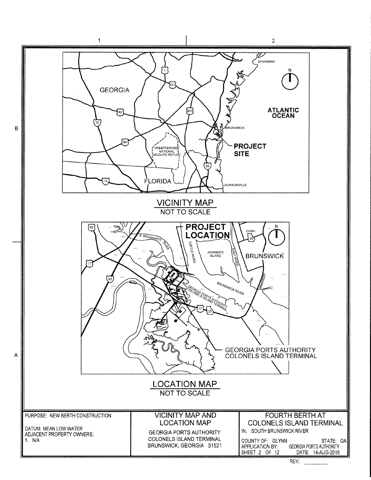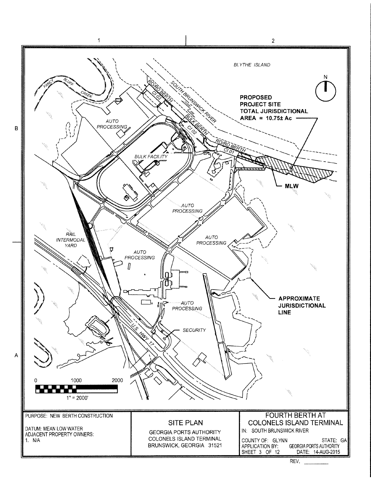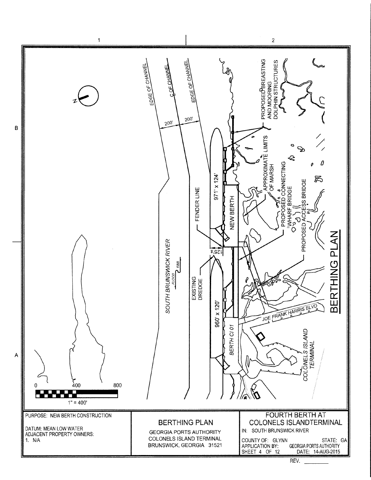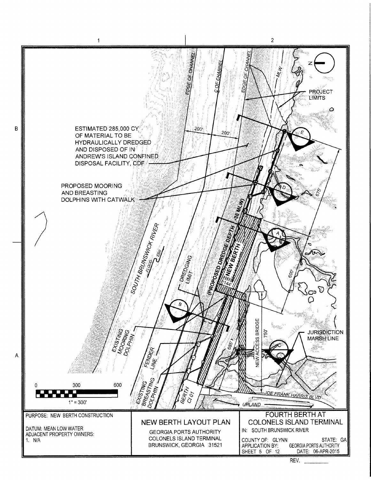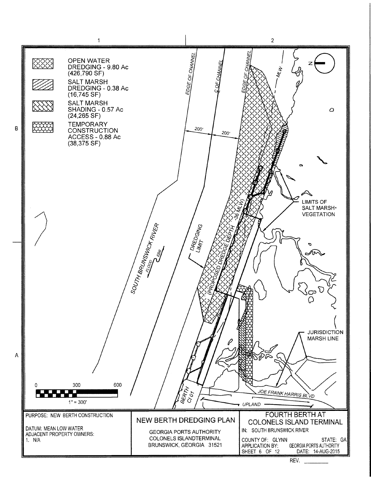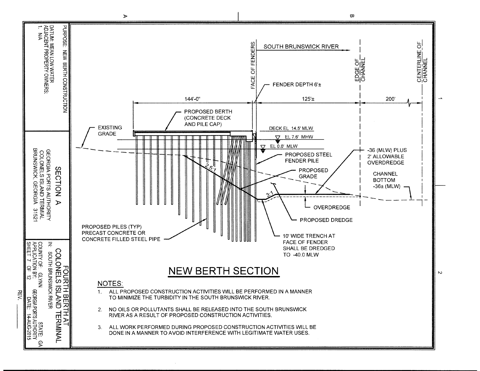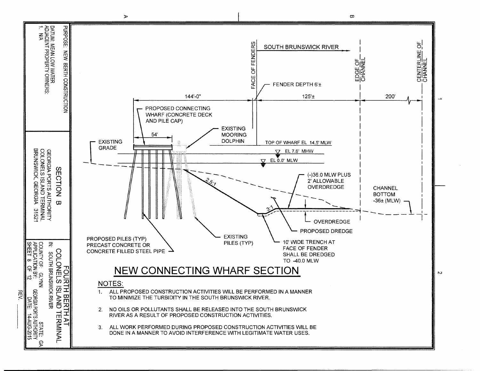

**REV**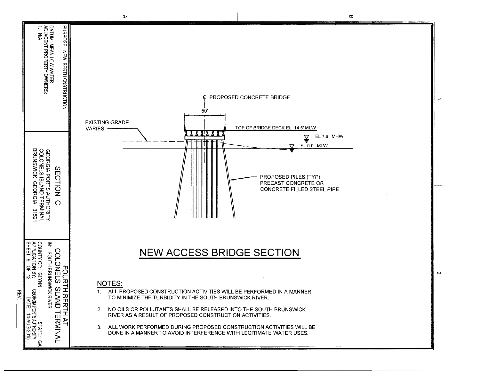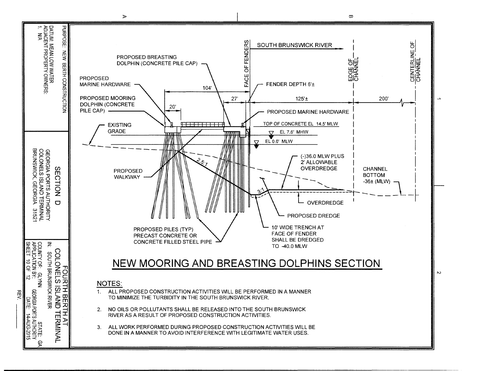

 $\triangleright$ 

 $\mathbf{\overline{\omega}}$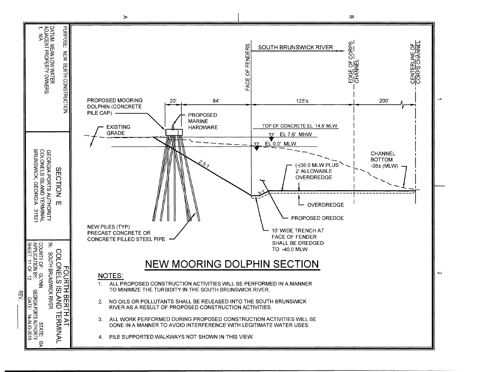

 $\sim$